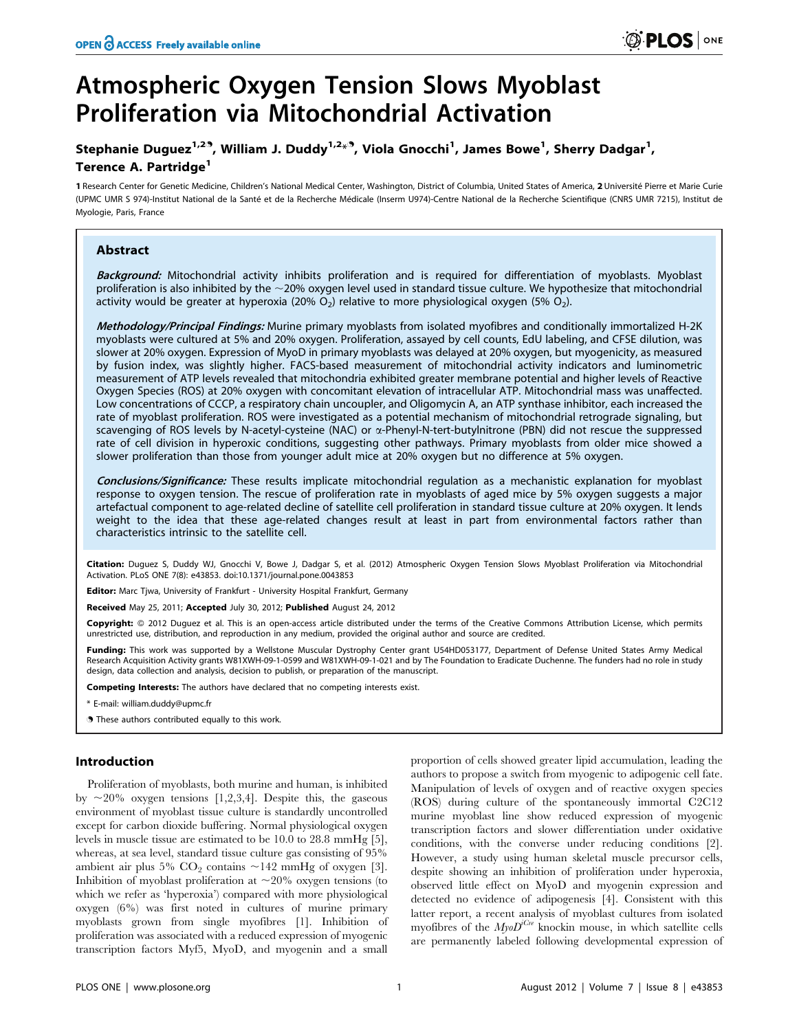# Atmospheric Oxygen Tension Slows Myoblast Proliferation via Mitochondrial Activation

# Stephanie Duguez<sup>1,29</sup>, William J. Duddy<sup>1,2</sup>\*<sup>9</sup>, Viola Gnocchi<sup>1</sup>, James Bowe<sup>1</sup>, Sherry Dadgar<sup>1</sup>, Terence A. Partridge<sup>1</sup>

1 Research Center for Genetic Medicine, Children's National Medical Center, Washington, District of Columbia, United States of America, 2 Université Pierre et Marie Curie (UPMC UMR S 974)-Institut National de la Sante´ et de la Recherche Me´dicale (Inserm U974)-Centre National de la Recherche Scientifique (CNRS UMR 7215), Institut de Myologie, Paris, France

## Abstract

Background: Mitochondrial activity inhibits proliferation and is required for differentiation of myoblasts. Myoblast proliferation is also inhibited by the  $\sim$ 20% oxygen level used in standard tissue culture. We hypothesize that mitochondrial activity would be greater at hyperoxia (20% O<sub>2</sub>) relative to more physiological oxygen (5% O<sub>2</sub>).

Methodology/Principal Findings: Murine primary myoblasts from isolated myofibres and conditionally immortalized H-2K myoblasts were cultured at 5% and 20% oxygen. Proliferation, assayed by cell counts, EdU labeling, and CFSE dilution, was slower at 20% oxygen. Expression of MyoD in primary myoblasts was delayed at 20% oxygen, but myogenicity, as measured by fusion index, was slightly higher. FACS-based measurement of mitochondrial activity indicators and luminometric measurement of ATP levels revealed that mitochondria exhibited greater membrane potential and higher levels of Reactive Oxygen Species (ROS) at 20% oxygen with concomitant elevation of intracellular ATP. Mitochondrial mass was unaffected. Low concentrations of CCCP, a respiratory chain uncoupler, and Oligomycin A, an ATP synthase inhibitor, each increased the rate of myoblast proliferation. ROS were investigated as a potential mechanism of mitochondrial retrograde signaling, but scavenging of ROS levels by N-acetyl-cysteine (NAC) or a-Phenyl-N-tert-butylnitrone (PBN) did not rescue the suppressed rate of cell division in hyperoxic conditions, suggesting other pathways. Primary myoblasts from older mice showed a slower proliferation than those from younger adult mice at 20% oxygen but no difference at 5% oxygen.

Conclusions/Significance: These results implicate mitochondrial regulation as a mechanistic explanation for myoblast response to oxygen tension. The rescue of proliferation rate in myoblasts of aged mice by 5% oxygen suggests a major artefactual component to age-related decline of satellite cell proliferation in standard tissue culture at 20% oxygen. It lends weight to the idea that these age-related changes result at least in part from environmental factors rather than characteristics intrinsic to the satellite cell.

Citation: Duguez S, Duddy WJ, Gnocchi V, Bowe J, Dadgar S, et al. (2012) Atmospheric Oxygen Tension Slows Myoblast Proliferation via Mitochondrial Activation. PLoS ONE 7(8): e43853. doi:10.1371/journal.pone.0043853

Editor: Marc Tjwa, University of Frankfurt - University Hospital Frankfurt, Germany

Received May 25, 2011; Accepted July 30, 2012; Published August 24, 2012

Copyright: © 2012 Duguez et al. This is an open-access article distributed under the terms of the Creative Commons Attribution License, which permits unrestricted use, distribution, and reproduction in any medium, provided the original author and source are credited.

Funding: This work was supported by a Wellstone Muscular Dystrophy Center grant U54HD053177, Department of Defense United States Army Medical Research Acquisition Activity grants W81XWH-09-1-0599 and W81XWH-09-1-021 and by The Foundation to Eradicate Duchenne. The funders had no role in study design, data collection and analysis, decision to publish, or preparation of the manuscript.

Competing Interests: The authors have declared that no competing interests exist.

\* E-mail: william.duddy@upmc.fr

. These authors contributed equally to this work.

## Introduction

Proliferation of myoblasts, both murine and human, is inhibited by  $\sim$ 20% oxygen tensions [1,2,3,4]. Despite this, the gaseous environment of myoblast tissue culture is standardly uncontrolled except for carbon dioxide buffering. Normal physiological oxygen levels in muscle tissue are estimated to be 10.0 to 28.8 mmHg [5], whereas, at sea level, standard tissue culture gas consisting of 95% ambient air plus 5%  $CO<sub>2</sub>$  contains  $\sim$ 142 mmHg of oxygen [3]. Inhibition of myoblast proliferation at  $\sim$ 20% oxygen tensions (to which we refer as 'hyperoxia') compared with more physiological oxygen (6%) was first noted in cultures of murine primary myoblasts grown from single myofibres [1]. Inhibition of proliferation was associated with a reduced expression of myogenic transcription factors Myf5, MyoD, and myogenin and a small

proportion of cells showed greater lipid accumulation, leading the authors to propose a switch from myogenic to adipogenic cell fate. Manipulation of levels of oxygen and of reactive oxygen species (ROS) during culture of the spontaneously immortal C2C12 murine myoblast line show reduced expression of myogenic transcription factors and slower differentiation under oxidative conditions, with the converse under reducing conditions [2]. However, a study using human skeletal muscle precursor cells, despite showing an inhibition of proliferation under hyperoxia, observed little effect on MyoD and myogenin expression and detected no evidence of adipogenesis [4]. Consistent with this latter report, a recent analysis of myoblast cultures from isolated myofibres of the  $My_0D^{iCre}$  knockin mouse, in which satellite cells are permanently labeled following developmental expression of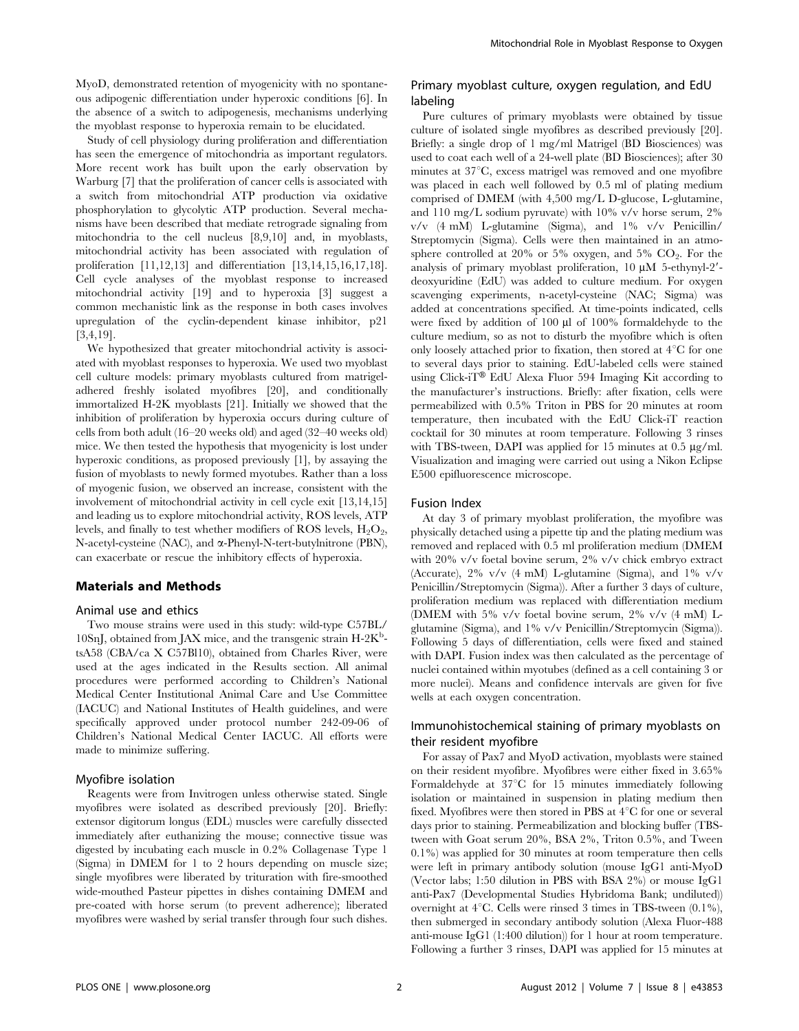MyoD, demonstrated retention of myogenicity with no spontaneous adipogenic differentiation under hyperoxic conditions [6]. In the absence of a switch to adipogenesis, mechanisms underlying the myoblast response to hyperoxia remain to be elucidated.

Study of cell physiology during proliferation and differentiation has seen the emergence of mitochondria as important regulators. More recent work has built upon the early observation by Warburg [7] that the proliferation of cancer cells is associated with a switch from mitochondrial ATP production via oxidative phosphorylation to glycolytic ATP production. Several mechanisms have been described that mediate retrograde signaling from mitochondria to the cell nucleus [8,9,10] and, in myoblasts, mitochondrial activity has been associated with regulation of proliferation [11,12,13] and differentiation [13,14,15,16,17,18]. Cell cycle analyses of the myoblast response to increased mitochondrial activity [19] and to hyperoxia [3] suggest a common mechanistic link as the response in both cases involves upregulation of the cyclin-dependent kinase inhibitor, p21 [3,4,19].

We hypothesized that greater mitochondrial activity is associated with myoblast responses to hyperoxia. We used two myoblast cell culture models: primary myoblasts cultured from matrigeladhered freshly isolated myofibres [20], and conditionally immortalized H-2K myoblasts [21]. Initially we showed that the inhibition of proliferation by hyperoxia occurs during culture of cells from both adult (16–20 weeks old) and aged (32–40 weeks old) mice. We then tested the hypothesis that myogenicity is lost under hyperoxic conditions, as proposed previously [1], by assaying the fusion of myoblasts to newly formed myotubes. Rather than a loss of myogenic fusion, we observed an increase, consistent with the involvement of mitochondrial activity in cell cycle exit [13,14,15] and leading us to explore mitochondrial activity, ROS levels, ATP levels, and finally to test whether modifiers of ROS levels,  $H_2O_2$ , N-acetyl-cysteine (NAC), and a-Phenyl-N-tert-butylnitrone (PBN), can exacerbate or rescue the inhibitory effects of hyperoxia.

#### Materials and Methods

#### Animal use and ethics

Two mouse strains were used in this study: wild-type C57BL/ 10SnJ, obtained from JAX mice, and the transgenic strain H-2K<sup>b</sup>tsA58 (CBA/ca X C57Bl10), obtained from Charles River, were used at the ages indicated in the Results section. All animal procedures were performed according to Children's National Medical Center Institutional Animal Care and Use Committee (IACUC) and National Institutes of Health guidelines, and were specifically approved under protocol number 242-09-06 of Children's National Medical Center IACUC. All efforts were made to minimize suffering.

#### Myofibre isolation

Reagents were from Invitrogen unless otherwise stated. Single myofibres were isolated as described previously [20]. Briefly: extensor digitorum longus (EDL) muscles were carefully dissected immediately after euthanizing the mouse; connective tissue was digested by incubating each muscle in 0.2% Collagenase Type 1 (Sigma) in DMEM for 1 to 2 hours depending on muscle size; single myofibres were liberated by trituration with fire-smoothed wide-mouthed Pasteur pipettes in dishes containing DMEM and pre-coated with horse serum (to prevent adherence); liberated myofibres were washed by serial transfer through four such dishes.

## Primary myoblast culture, oxygen regulation, and EdU labeling

Pure cultures of primary myoblasts were obtained by tissue culture of isolated single myofibres as described previously [20]. Briefly: a single drop of 1 mg/ml Matrigel (BD Biosciences) was used to coat each well of a 24-well plate (BD Biosciences); after 30 minutes at  $37^{\circ}$ C, excess matrigel was removed and one myofibre was placed in each well followed by 0.5 ml of plating medium comprised of DMEM (with 4,500 mg/L D-glucose, L-glutamine, and 110 mg/L sodium pyruvate) with 10% v/v horse serum, 2%  $v/v$  (4 mM) L-glutamine (Sigma), and  $1\%$  v/v Penicillin/ Streptomycin (Sigma). Cells were then maintained in an atmosphere controlled at 20% or 5% oxygen, and 5%  $CO<sub>2</sub>$ . For the analysis of primary myoblast proliferation,  $10 \mu M$  5-ethynyl-2'deoxyuridine (EdU) was added to culture medium. For oxygen scavenging experiments, n-acetyl-cysteine (NAC; Sigma) was added at concentrations specified. At time-points indicated, cells were fixed by addition of 100  $\mu$ l of 100% formaldehyde to the culture medium, so as not to disturb the myofibre which is often only loosely attached prior to fixation, then stored at  $4^{\circ}$ C for one to several days prior to staining. EdU-labeled cells were stained using Click-i $T^{\otimes}$  EdU Alexa Fluor 594 Imaging Kit according to the manufacturer's instructions. Briefly: after fixation, cells were permeabilized with 0.5% Triton in PBS for 20 minutes at room temperature, then incubated with the EdU Click-iT reaction cocktail for 30 minutes at room temperature. Following 3 rinses with TBS-tween, DAPI was applied for 15 minutes at  $0.5 \mu g/ml$ . Visualization and imaging were carried out using a Nikon Eclipse E500 epifluorescence microscope.

#### Fusion Index

At day 3 of primary myoblast proliferation, the myofibre was physically detached using a pipette tip and the plating medium was removed and replaced with 0.5 ml proliferation medium (DMEM with 20% v/v foetal bovine serum, 2% v/v chick embryo extract (Accurate), 2% v/v (4 mM) L-glutamine (Sigma), and 1% v/v Penicillin/Streptomycin (Sigma)). After a further 3 days of culture, proliferation medium was replaced with differentiation medium (DMEM with 5% v/v foetal bovine serum, 2% v/v (4 mM) Lglutamine (Sigma), and 1% v/v Penicillin/Streptomycin (Sigma)). Following 5 days of differentiation, cells were fixed and stained with DAPI. Fusion index was then calculated as the percentage of nuclei contained within myotubes (defined as a cell containing 3 or more nuclei). Means and confidence intervals are given for five wells at each oxygen concentration.

### Immunohistochemical staining of primary myoblasts on their resident myofibre

For assay of Pax7 and MyoD activation, myoblasts were stained on their resident myofibre. Myofibres were either fixed in 3.65% Formaldehyde at  $37^{\circ}$ C for 15 minutes immediately following isolation or maintained in suspension in plating medium then fixed. Myofibres were then stored in PBS at  $4^{\circ}$ C for one or several days prior to staining. Permeabilization and blocking buffer (TBStween with Goat serum 20%, BSA 2%, Triton 0.5%, and Tween 0.1%) was applied for 30 minutes at room temperature then cells were left in primary antibody solution (mouse IgG1 anti-MyoD (Vector labs; 1:50 dilution in PBS with BSA 2%) or mouse IgG1 anti-Pax7 (Developmental Studies Hybridoma Bank; undiluted)) overnight at  $4^{\circ}$ C. Cells were rinsed 3 times in TBS-tween  $(0.1\%)$ , then submerged in secondary antibody solution (Alexa Fluor-488 anti-mouse IgG1 (1:400 dilution)) for 1 hour at room temperature. Following a further 3 rinses, DAPI was applied for 15 minutes at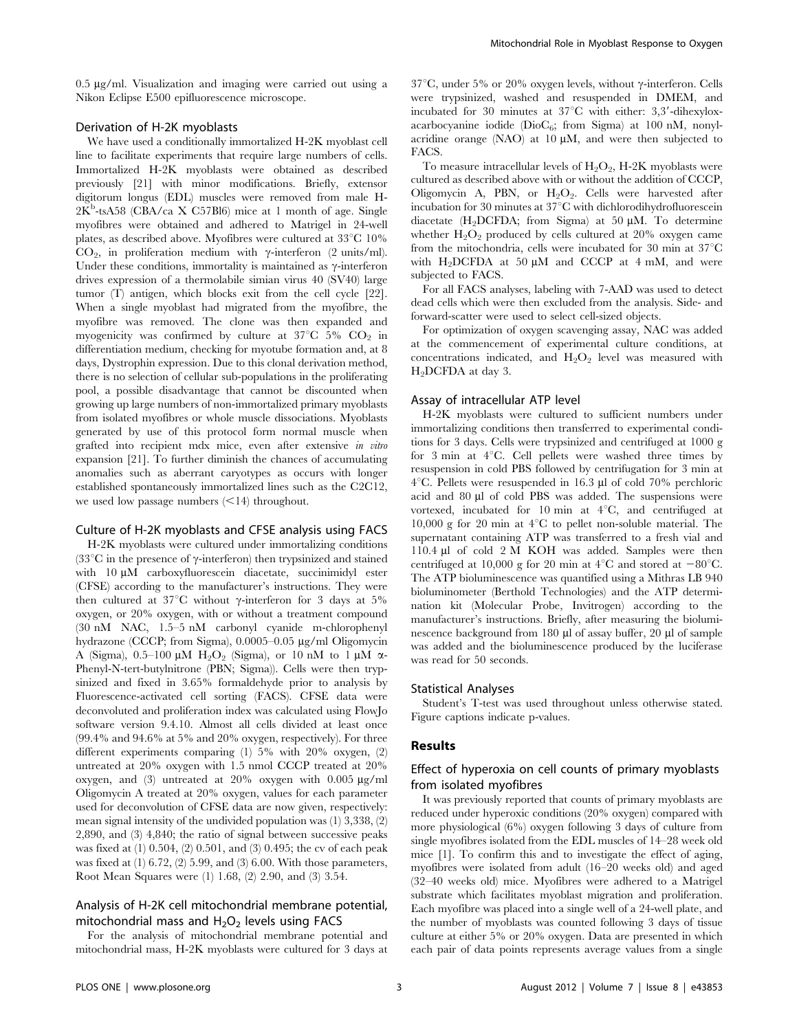$0.5 \mu$ g/ml. Visualization and imaging were carried out using a Nikon Eclipse E500 epifluorescence microscope.

#### Derivation of H-2K myoblasts

We have used a conditionally immortalized H-2K myoblast cell line to facilitate experiments that require large numbers of cells. Immortalized H-2K myoblasts were obtained as described previously [21] with minor modifications. Briefly, extensor digitorum longus (EDL) muscles were removed from male H- $2\text{K}^{\text{b}}$ -tsA58 (CBA/ca X C57Bl6) mice at 1 month of age. Single myofibres were obtained and adhered to Matrigel in 24-well plates, as described above. Myofibres were cultured at  $33^{\circ}$ C 10%  $CO<sub>2</sub>$ , in proliferation medium with  $\gamma$ -interferon (2 units/ml). Under these conditions, immortality is maintained as  $\gamma$ -interferon drives expression of a thermolabile simian virus 40 (SV40) large tumor (T) antigen, which blocks exit from the cell cycle [22]. When a single myoblast had migrated from the myofibre, the myofibre was removed. The clone was then expanded and myogenicity was confirmed by culture at  $37^{\circ}$ C 5% CO<sub>2</sub> in differentiation medium, checking for myotube formation and, at 8 days, Dystrophin expression. Due to this clonal derivation method, there is no selection of cellular sub-populations in the proliferating pool, a possible disadvantage that cannot be discounted when growing up large numbers of non-immortalized primary myoblasts from isolated myofibres or whole muscle dissociations. Myoblasts generated by use of this protocol form normal muscle when grafted into recipient mdx mice, even after extensive in vitro expansion [21]. To further diminish the chances of accumulating anomalies such as aberrant caryotypes as occurs with longer established spontaneously immortalized lines such as the C2C12, we used low passage numbers  $\leq$ 14) throughout.

#### Culture of H-2K myoblasts and CFSE analysis using FACS

H-2K myoblasts were cultured under immortalizing conditions (33 $^{\circ}$ C in the presence of  $\gamma$ -interferon) then trypsinized and stained with 10  $\mu$ M carboxyfluorescein diacetate, succinimidyl ester (CFSE) according to the manufacturer's instructions. They were then cultured at 37 $\degree$ C without  $\gamma$ -interferon for 3 days at 5% oxygen, or 20% oxygen, with or without a treatment compound (30 nM NAC, 1.5–5 nM carbonyl cyanide m-chlorophenyl hydrazone (CCCP; from Sigma), 0.0005–0.05 µg/ml Oligomycin A (Sigma),  $0.5-100 \mu M$  H<sub>2</sub>O<sub>2</sub> (Sigma), or 10 nM to 1  $\mu$ M  $\alpha$ -Phenyl-N-tert-butylnitrone (PBN; Sigma)). Cells were then trypsinized and fixed in 3.65% formaldehyde prior to analysis by Fluorescence-activated cell sorting (FACS). CFSE data were deconvoluted and proliferation index was calculated using FlowJo software version 9.4.10. Almost all cells divided at least once (99.4% and 94.6% at 5% and 20% oxygen, respectively). For three different experiments comparing (1) 5% with 20% oxygen, (2) untreated at 20% oxygen with 1.5 nmol CCCP treated at 20% oxygen, and (3) untreated at  $20\%$  oxygen with  $0.005 \mu g/ml$ Oligomycin A treated at 20% oxygen, values for each parameter used for deconvolution of CFSE data are now given, respectively: mean signal intensity of the undivided population was (1) 3,338, (2) 2,890, and (3) 4,840; the ratio of signal between successive peaks was fixed at (1) 0.504, (2) 0.501, and (3) 0.495; the cv of each peak was fixed at  $(1)$  6.72,  $(2)$  5.99, and  $(3)$  6.00. With those parameters, Root Mean Squares were (1) 1.68, (2) 2.90, and (3) 3.54.

## Analysis of H-2K cell mitochondrial membrane potential, mitochondrial mass and  $H_2O_2$  levels using FACS

For the analysis of mitochondrial membrane potential and mitochondrial mass, H-2K myoblasts were cultured for 3 days at  $37^{\circ}$ C, under 5% or 20% oxygen levels, without  $\gamma$ -interferon. Cells were trypsinized, washed and resuspended in DMEM, and incubated for 30 minutes at  $37^{\circ}$ C with either: 3,3'-dihexyloxacarbocyanine iodide ( $Di_6$ ; from Sigma) at 100 nM, nonylacridine orange (NAO) at  $10 \mu M$ , and were then subjected to FACS.

To measure intracellular levels of  $H_2O_2$ , H-2K myoblasts were cultured as described above with or without the addition of CCCP, Oligomycin A, PBN, or  $H_2O_2$ . Cells were harvested after incubation for 30 minutes at  $37^{\circ}$ C with dichlorodihydrofluorescein diacetate (H<sub>2</sub>DCFDA; from Sigma) at 50  $\mu$ M. To determine whether  $H_2O_2$  produced by cells cultured at 20% oxygen came from the mitochondria, cells were incubated for 30 min at  $37^{\circ}$ C with H<sub>2</sub>DCFDA at 50  $\mu$ M and CCCP at 4 mM, and were subjected to FACS.

For all FACS analyses, labeling with 7-AAD was used to detect dead cells which were then excluded from the analysis. Side- and forward-scatter were used to select cell-sized objects.

For optimization of oxygen scavenging assay, NAC was added at the commencement of experimental culture conditions, at concentrations indicated, and  $H_2O_2$  level was measured with H<sub>2</sub>DCFDA at day 3.

#### Assay of intracellular ATP level

H-2K myoblasts were cultured to sufficient numbers under immortalizing conditions then transferred to experimental conditions for 3 days. Cells were trypsinized and centrifuged at 1000 g for 3 min at  $4^{\circ}$ C. Cell pellets were washed three times by resuspension in cold PBS followed by centrifugation for 3 min at  $4^{\circ}$ C. Pellets were resuspended in 16.3 µl of cold 70% perchloric acid and 80 µl of cold PBS was added. The suspensions were vortexed, incubated for 10 min at  $4^{\circ}C$ , and centrifuged at 10,000 g for 20 min at  $4^{\circ}$ C to pellet non-soluble material. The supernatant containing ATP was transferred to a fresh vial and 110.4 ml of cold 2 M KOH was added. Samples were then centrifuged at 10,000 g for 20 min at  $4^{\circ}$ C and stored at  $-80^{\circ}$ C. The ATP bioluminescence was quantified using a Mithras LB 940 bioluminometer (Berthold Technologies) and the ATP determination kit (Molecular Probe, Invitrogen) according to the manufacturer's instructions. Briefly, after measuring the bioluminescence background from 180 µl of assay buffer, 20 µl of sample was added and the bioluminescence produced by the luciferase was read for 50 seconds.

#### Statistical Analyses

Student's T-test was used throughout unless otherwise stated. Figure captions indicate p-values.

#### Results

## Effect of hyperoxia on cell counts of primary myoblasts from isolated myofibres

It was previously reported that counts of primary myoblasts are reduced under hyperoxic conditions (20% oxygen) compared with more physiological (6%) oxygen following 3 days of culture from single myofibres isolated from the EDL muscles of 14–28 week old mice [1]. To confirm this and to investigate the effect of aging, myofibres were isolated from adult (16–20 weeks old) and aged (32–40 weeks old) mice. Myofibres were adhered to a Matrigel substrate which facilitates myoblast migration and proliferation. Each myofibre was placed into a single well of a 24-well plate, and the number of myoblasts was counted following 3 days of tissue culture at either 5% or 20% oxygen. Data are presented in which each pair of data points represents average values from a single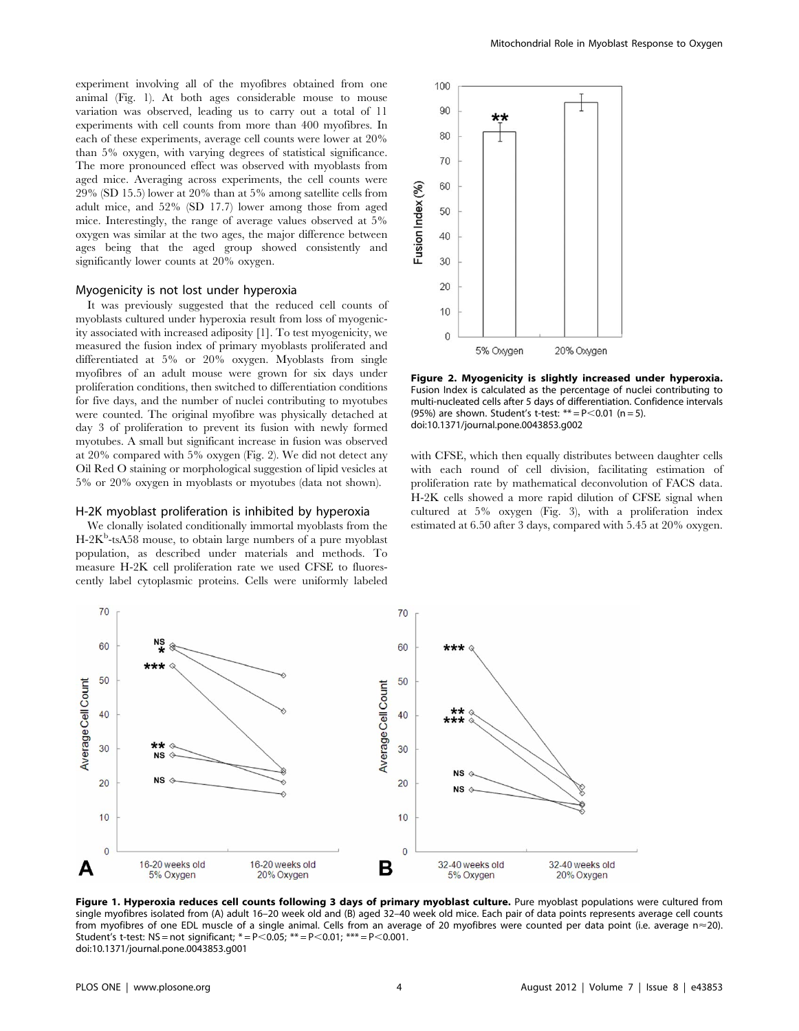experiment involving all of the myofibres obtained from one animal (Fig. 1). At both ages considerable mouse to mouse variation was observed, leading us to carry out a total of 11 experiments with cell counts from more than 400 myofibres. In each of these experiments, average cell counts were lower at 20% than 5% oxygen, with varying degrees of statistical significance. The more pronounced effect was observed with myoblasts from aged mice. Averaging across experiments, the cell counts were 29% (SD 15.5) lower at 20% than at 5% among satellite cells from adult mice, and 52% (SD 17.7) lower among those from aged mice. Interestingly, the range of average values observed at 5% oxygen was similar at the two ages, the major difference between ages being that the aged group showed consistently and significantly lower counts at 20% oxygen.

#### Myogenicity is not lost under hyperoxia

It was previously suggested that the reduced cell counts of myoblasts cultured under hyperoxia result from loss of myogenicity associated with increased adiposity [1]. To test myogenicity, we measured the fusion index of primary myoblasts proliferated and differentiated at 5% or 20% oxygen. Myoblasts from single myofibres of an adult mouse were grown for six days under proliferation conditions, then switched to differentiation conditions for five days, and the number of nuclei contributing to myotubes were counted. The original myofibre was physically detached at day 3 of proliferation to prevent its fusion with newly formed myotubes. A small but significant increase in fusion was observed at 20% compared with 5% oxygen (Fig. 2). We did not detect any Oil Red O staining or morphological suggestion of lipid vesicles at 5% or 20% oxygen in myoblasts or myotubes (data not shown).

#### H-2K myoblast proliferation is inhibited by hyperoxia

We clonally isolated conditionally immortal myoblasts from the H-2K<sup>b</sup>-tsA58 mouse, to obtain large numbers of a pure myoblast population, as described under materials and methods. To measure H-2K cell proliferation rate we used CFSE to fluorescently label cytoplasmic proteins. Cells were uniformly labeled



Figure 2. Myogenicity is slightly increased under hyperoxia. Fusion Index is calculated as the percentage of nuclei contributing to multi-nucleated cells after 5 days of differentiation. Confidence intervals (95%) are shown. Student's t-test:  $** = P < 0.01$  (n = 5). doi:10.1371/journal.pone.0043853.g002

with CFSE, which then equally distributes between daughter cells with each round of cell division, facilitating estimation of proliferation rate by mathematical deconvolution of FACS data. H-2K cells showed a more rapid dilution of CFSE signal when cultured at 5% oxygen (Fig. 3), with a proliferation index estimated at 6.50 after 3 days, compared with 5.45 at 20% oxygen.



Figure 1. Hyperoxia reduces cell counts following 3 days of primary myoblast culture. Pure myoblast populations were cultured from single myofibres isolated from (A) adult 16–20 week old and (B) aged 32–40 week old mice. Each pair of data points represents average cell counts from myofibres of one EDL muscle of a single animal. Cells from an average of 20 myofibres were counted per data point (i.e. average n<20). Student's t-test:  $NS = not$  significant;  $* = P < 0.05$ ;  $* = P < 0.01$ ;  $* = P < 0.001$ . doi:10.1371/journal.pone.0043853.g001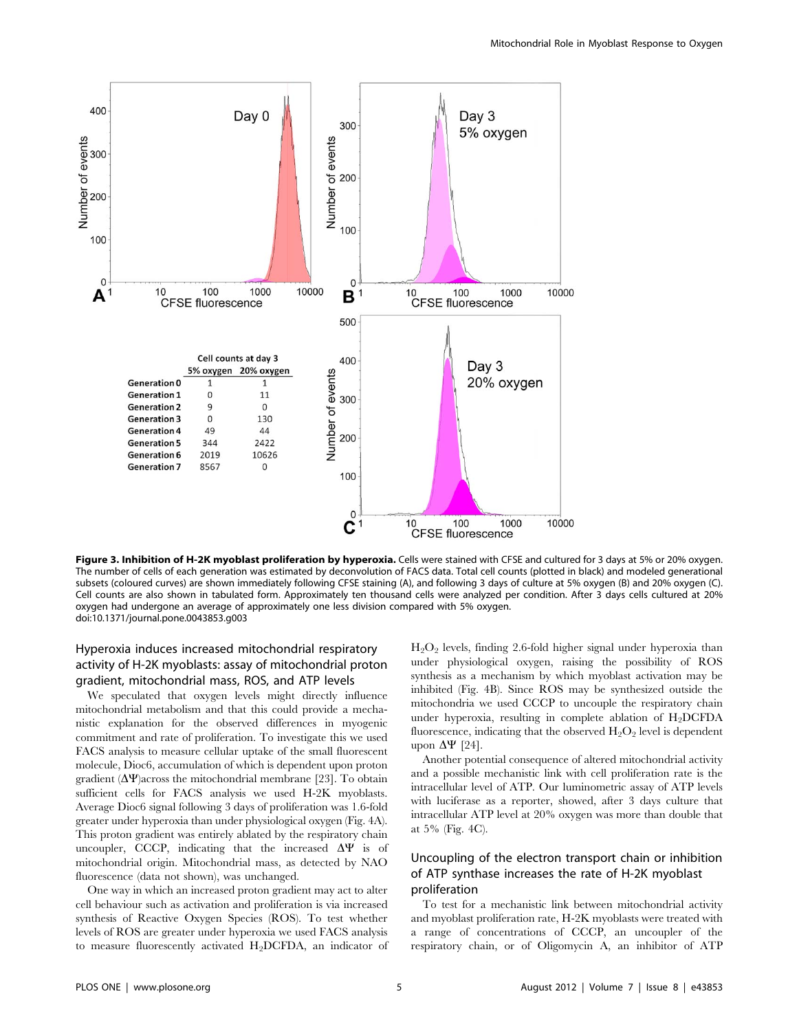

Figure 3. Inhibition of H-2K myoblast proliferation by hyperoxia. Cells were stained with CFSE and cultured for 3 days at 5% or 20% oxygen. The number of cells of each generation was estimated by deconvolution of FACS data. Total cell counts (plotted in black) and modeled generational subsets (coloured curves) are shown immediately following CFSE staining (A), and following 3 days of culture at 5% oxygen (B) and 20% oxygen (C). Cell counts are also shown in tabulated form. Approximately ten thousand cells were analyzed per condition. After 3 days cells cultured at 20% oxygen had undergone an average of approximately one less division compared with 5% oxygen. doi:10.1371/journal.pone.0043853.g003

## Hyperoxia induces increased mitochondrial respiratory activity of H-2K myoblasts: assay of mitochondrial proton gradient, mitochondrial mass, ROS, and ATP levels

We speculated that oxygen levels might directly influence mitochondrial metabolism and that this could provide a mechanistic explanation for the observed differences in myogenic commitment and rate of proliferation. To investigate this we used FACS analysis to measure cellular uptake of the small fluorescent molecule, Dioc6, accumulation of which is dependent upon proton gradient  $(\Delta \Psi)$  across the mitochondrial membrane [23]. To obtain sufficient cells for FACS analysis we used H-2K myoblasts. Average Dioc6 signal following 3 days of proliferation was 1.6-fold greater under hyperoxia than under physiological oxygen (Fig. 4A). This proton gradient was entirely ablated by the respiratory chain uncoupler, CCCP, indicating that the increased  $\Delta \Psi$  is of mitochondrial origin. Mitochondrial mass, as detected by NAO fluorescence (data not shown), was unchanged.

One way in which an increased proton gradient may act to alter cell behaviour such as activation and proliferation is via increased synthesis of Reactive Oxygen Species (ROS). To test whether levels of ROS are greater under hyperoxia we used FACS analysis to measure fluorescently activated  $H_2$ DCFDA, an indicator of  $H<sub>2</sub>O<sub>2</sub>$  levels, finding 2.6-fold higher signal under hyperoxia than under physiological oxygen, raising the possibility of ROS synthesis as a mechanism by which myoblast activation may be inhibited (Fig. 4B). Since ROS may be synthesized outside the mitochondria we used CCCP to uncouple the respiratory chain under hyperoxia, resulting in complete ablation of  $H_2$ DCFDA fluorescence, indicating that the observed  $H_2O_2$  level is dependent upon  $\Delta\Psi$  [24].

Another potential consequence of altered mitochondrial activity and a possible mechanistic link with cell proliferation rate is the intracellular level of ATP. Our luminometric assay of ATP levels with luciferase as a reporter, showed, after 3 days culture that intracellular ATP level at 20% oxygen was more than double that at 5% (Fig. 4C).

## Uncoupling of the electron transport chain or inhibition of ATP synthase increases the rate of H-2K myoblast proliferation

To test for a mechanistic link between mitochondrial activity and myoblast proliferation rate, H-2K myoblasts were treated with a range of concentrations of CCCP, an uncoupler of the respiratory chain, or of Oligomycin A, an inhibitor of ATP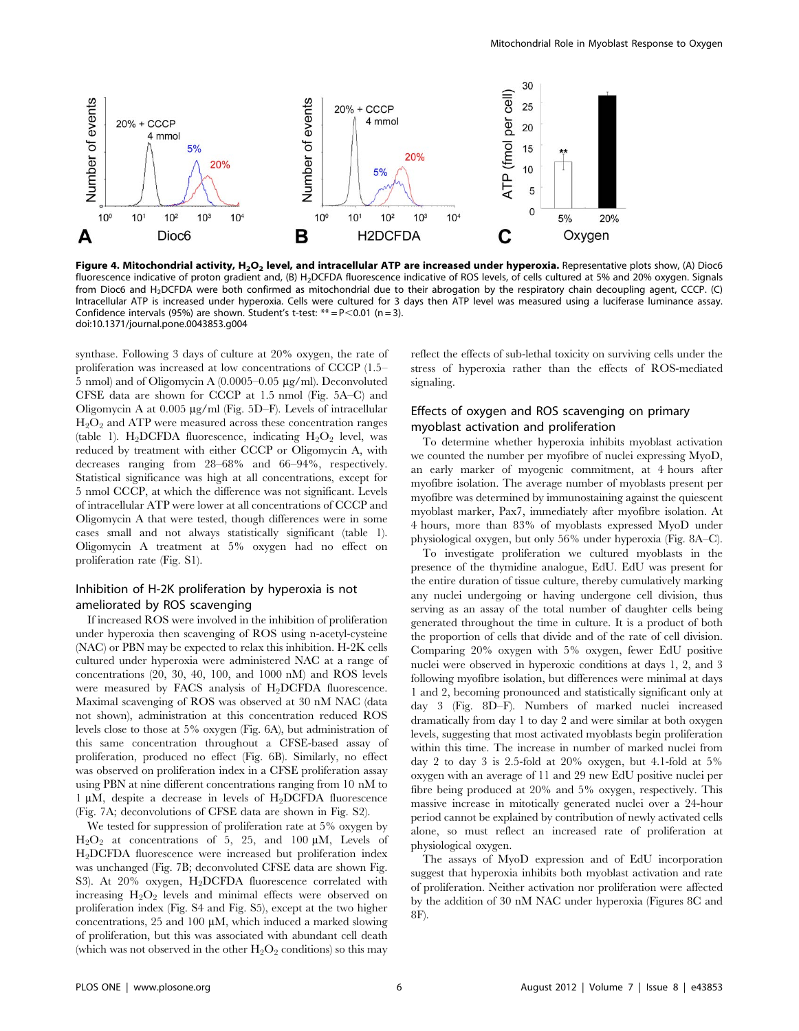

Figure 4. Mitochondrial activity, H<sub>2</sub>O<sub>2</sub> level, and intracellular ATP are increased under hyperoxia. Representative plots show, (A) Dioc6 fluorescence indicative of proton gradient and, (B) H<sub>2</sub>DCFDA fluorescence indicative of ROS levels, of cells cultured at 5% and 20% oxygen. Signals from Dioc6 and H<sub>2</sub>DCFDA were both confirmed as mitochondrial due to their abrogation by the respiratory chain decoupling agent, CCCP. (C) Intracellular ATP is increased under hyperoxia. Cells were cultured for 3 days then ATP level was measured using a luciferase luminance assay. Confidence intervals (95%) are shown. Student's t-test:  $** = P < 0.01$  (n = 3). doi:10.1371/journal.pone.0043853.g004

synthase. Following 3 days of culture at 20% oxygen, the rate of proliferation was increased at low concentrations of CCCP (1.5– 5 nmol) and of Oligomycin A (0.0005–0.05 mg/ml). Deconvoluted CFSE data are shown for CCCP at 1.5 nmol (Fig. 5A–C) and Oligomycin A at  $0.005 \mu g/ml$  (Fig. 5D–F). Levels of intracellular  $H_2O_2$  and ATP were measured across these concentration ranges (table 1). H<sub>2</sub>DCFDA fluorescence, indicating  $H_2O_2$  level, was reduced by treatment with either CCCP or Oligomycin A, with decreases ranging from 28–68% and 66–94%, respectively. Statistical significance was high at all concentrations, except for 5 nmol CCCP, at which the difference was not significant. Levels of intracellular ATP were lower at all concentrations of CCCP and Oligomycin A that were tested, though differences were in some cases small and not always statistically significant (table 1). Oligomycin A treatment at 5% oxygen had no effect on proliferation rate (Fig. S1).

## Inhibition of H-2K proliferation by hyperoxia is not ameliorated by ROS scavenging

If increased ROS were involved in the inhibition of proliferation under hyperoxia then scavenging of ROS using n-acetyl-cysteine (NAC) or PBN may be expected to relax this inhibition. H-2K cells cultured under hyperoxia were administered NAC at a range of concentrations (20, 30, 40, 100, and 1000 nM) and ROS levels were measured by FACS analysis of  $H_2$ DCFDA fluorescence. Maximal scavenging of ROS was observed at 30 nM NAC (data not shown), administration at this concentration reduced ROS levels close to those at 5% oxygen (Fig. 6A), but administration of this same concentration throughout a CFSE-based assay of proliferation, produced no effect (Fig. 6B). Similarly, no effect was observed on proliferation index in a CFSE proliferation assay using PBN at nine different concentrations ranging from 10 nM to 1  $\mu$ M, despite a decrease in levels of H<sub>2</sub>DCFDA fluorescence (Fig. 7A; deconvolutions of CFSE data are shown in Fig. S2).

We tested for suppression of proliferation rate at 5% oxygen by  $H_2O_2$  at concentrations of 5, 25, and 100  $\mu$ M, Levels of H2DCFDA fluorescence were increased but proliferation index was unchanged (Fig. 7B; deconvoluted CFSE data are shown Fig. S3). At  $20\%$  oxygen, H<sub>2</sub>DCFDA fluorescence correlated with increasing  $H_2O_2$  levels and minimal effects were observed on proliferation index (Fig. S4 and Fig. S5), except at the two higher concentrations,  $25$  and  $100 \mu M$ , which induced a marked slowing of proliferation, but this was associated with abundant cell death (which was not observed in the other  $H_2O_2$  conditions) so this may reflect the effects of sub-lethal toxicity on surviving cells under the stress of hyperoxia rather than the effects of ROS-mediated signaling.

## Effects of oxygen and ROS scavenging on primary myoblast activation and proliferation

To determine whether hyperoxia inhibits myoblast activation we counted the number per myofibre of nuclei expressing MyoD, an early marker of myogenic commitment, at 4 hours after myofibre isolation. The average number of myoblasts present per myofibre was determined by immunostaining against the quiescent myoblast marker, Pax7, immediately after myofibre isolation. At 4 hours, more than 83% of myoblasts expressed MyoD under physiological oxygen, but only 56% under hyperoxia (Fig. 8A–C).

To investigate proliferation we cultured myoblasts in the presence of the thymidine analogue, EdU. EdU was present for the entire duration of tissue culture, thereby cumulatively marking any nuclei undergoing or having undergone cell division, thus serving as an assay of the total number of daughter cells being generated throughout the time in culture. It is a product of both the proportion of cells that divide and of the rate of cell division. Comparing 20% oxygen with 5% oxygen, fewer EdU positive nuclei were observed in hyperoxic conditions at days 1, 2, and 3 following myofibre isolation, but differences were minimal at days 1 and 2, becoming pronounced and statistically significant only at day 3 (Fig. 8D–F). Numbers of marked nuclei increased dramatically from day 1 to day 2 and were similar at both oxygen levels, suggesting that most activated myoblasts begin proliferation within this time. The increase in number of marked nuclei from day 2 to day 3 is 2.5-fold at 20% oxygen, but 4.1-fold at 5% oxygen with an average of 11 and 29 new EdU positive nuclei per fibre being produced at 20% and 5% oxygen, respectively. This massive increase in mitotically generated nuclei over a 24-hour period cannot be explained by contribution of newly activated cells alone, so must reflect an increased rate of proliferation at physiological oxygen.

The assays of MyoD expression and of EdU incorporation suggest that hyperoxia inhibits both myoblast activation and rate of proliferation. Neither activation nor proliferation were affected by the addition of 30 nM NAC under hyperoxia (Figures 8C and 8F).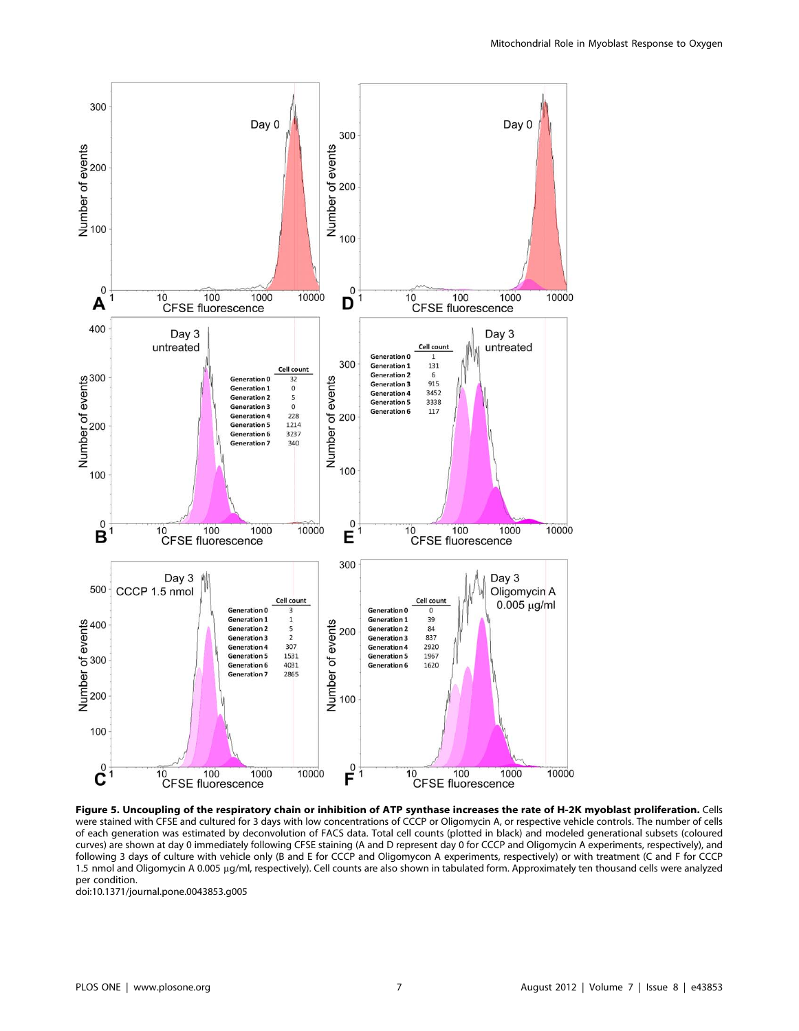

Figure 5. Uncoupling of the respiratory chain or inhibition of ATP synthase increases the rate of H-2K myoblast proliferation. Cells were stained with CFSE and cultured for 3 days with low concentrations of CCCP or Oligomycin A, or respective vehicle controls. The number of cells of each generation was estimated by deconvolution of FACS data. Total cell counts (plotted in black) and modeled generational subsets (coloured curves) are shown at day 0 immediately following CFSE staining (A and D represent day 0 for CCCP and Oligomycin A experiments, respectively), and following 3 days of culture with vehicle only (B and E for CCCP and Oligomycon A experiments, respectively) or with treatment (C and F for CCCP 1.5 nmol and Oligomycin A 0.005 µg/ml, respectively). Cell counts are also shown in tabulated form. Approximately ten thousand cells were analyzed per condition.

doi:10.1371/journal.pone.0043853.g005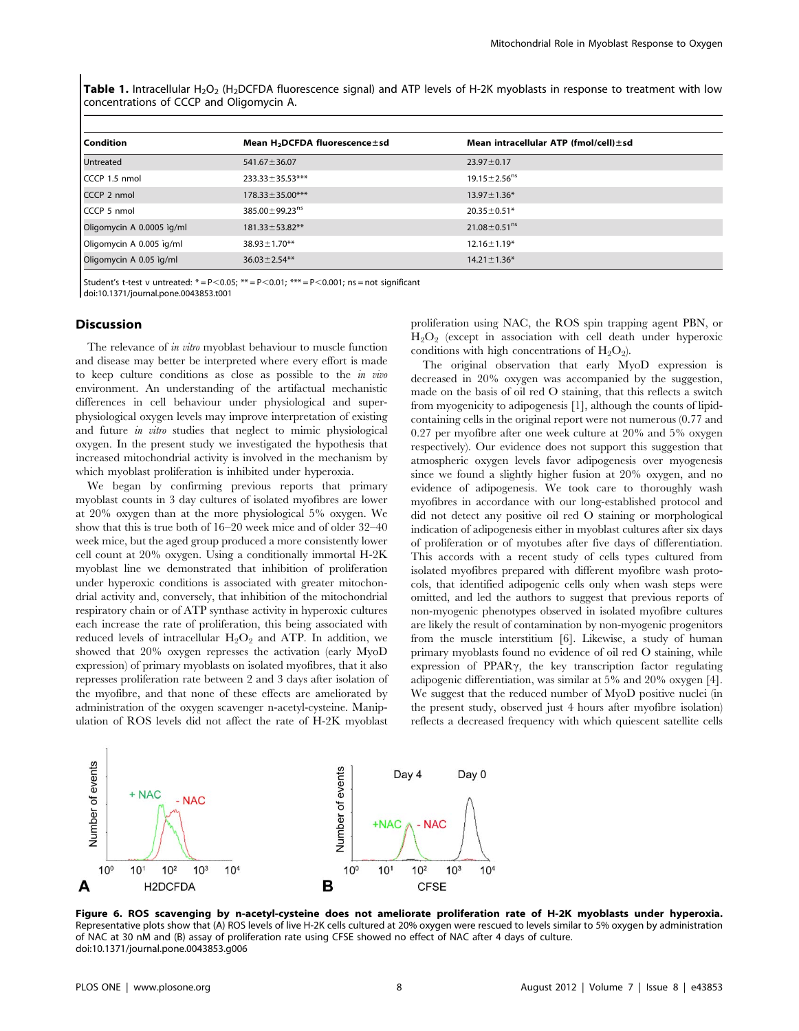Table 1. Intracellular H<sub>2</sub>O<sub>2</sub> (H<sub>2</sub>DCFDA fluorescence signal) and ATP levels of H-2K myoblasts in response to treatment with low concentrations of CCCP and Oligomycin A.

| <b>Condition</b>          | Mean H <sub>2</sub> DCFDA fluorescence ± sd | Mean intracellular ATP (fmol/cell) $\pm$ sd |
|---------------------------|---------------------------------------------|---------------------------------------------|
| Untreated                 | $541.67 \pm 36.07$                          | $23.97 \pm 0.17$                            |
| CCCP 1.5 nmol             | $233.33 \pm 35.53***$                       | $19.15 \pm 2.56$ <sup>ns</sup>              |
| CCCP 2 nmol               | $178.33 \pm 35.00***$                       | $13.97 \pm 1.36*$                           |
| CCCP 5 nmol               | 385.00 $\pm$ 99.23 <sup>ns</sup>            | $20.35 \pm 0.51*$                           |
| Oligomycin A 0.0005 ig/ml | $181.33 \pm 53.82$ **                       | $21.08 \pm 0.51$ <sup>ns</sup>              |
| Oligomycin A 0.005 ig/ml  | $38.93 \pm 1.70$ **                         | $12.16 \pm 1.19*$                           |
| Oligomycin A 0.05 ìg/ml   | $36.03 \pm 2.54**$                          | $14.21 \pm 1.36*$                           |

Student's t-test v untreated:  $* = P < 0.05$ ;  $** = P < 0.01$ ;  $*** = P < 0.001$ ; ns = not significant

doi:10.1371/journal.pone.0043853.t001

#### Discussion

The relevance of *in vitro* myoblast behaviour to muscle function and disease may better be interpreted where every effort is made to keep culture conditions as close as possible to the in vivo environment. An understanding of the artifactual mechanistic differences in cell behaviour under physiological and superphysiological oxygen levels may improve interpretation of existing and future in vitro studies that neglect to mimic physiological oxygen. In the present study we investigated the hypothesis that increased mitochondrial activity is involved in the mechanism by which myoblast proliferation is inhibited under hyperoxia.

We began by confirming previous reports that primary myoblast counts in 3 day cultures of isolated myofibres are lower at 20% oxygen than at the more physiological 5% oxygen. We show that this is true both of 16–20 week mice and of older 32–40 week mice, but the aged group produced a more consistently lower cell count at 20% oxygen. Using a conditionally immortal H-2K myoblast line we demonstrated that inhibition of proliferation under hyperoxic conditions is associated with greater mitochondrial activity and, conversely, that inhibition of the mitochondrial respiratory chain or of ATP synthase activity in hyperoxic cultures each increase the rate of proliferation, this being associated with reduced levels of intracellular  $H_2O_2$  and ATP. In addition, we showed that 20% oxygen represses the activation (early MyoD expression) of primary myoblasts on isolated myofibres, that it also represses proliferation rate between 2 and 3 days after isolation of the myofibre, and that none of these effects are ameliorated by administration of the oxygen scavenger n-acetyl-cysteine. Manipulation of ROS levels did not affect the rate of H-2K myoblast

proliferation using NAC, the ROS spin trapping agent PBN, or  $H_2O_2$  (except in association with cell death under hyperoxic conditions with high concentrations of  $H_2O_2$ ).

The original observation that early MyoD expression is decreased in 20% oxygen was accompanied by the suggestion, made on the basis of oil red O staining, that this reflects a switch from myogenicity to adipogenesis [1], although the counts of lipidcontaining cells in the original report were not numerous (0.77 and 0.27 per myofibre after one week culture at 20% and 5% oxygen respectively). Our evidence does not support this suggestion that atmospheric oxygen levels favor adipogenesis over myogenesis since we found a slightly higher fusion at 20% oxygen, and no evidence of adipogenesis. We took care to thoroughly wash myofibres in accordance with our long-established protocol and did not detect any positive oil red O staining or morphological indication of adipogenesis either in myoblast cultures after six days of proliferation or of myotubes after five days of differentiation. This accords with a recent study of cells types cultured from isolated myofibres prepared with different myofibre wash protocols, that identified adipogenic cells only when wash steps were omitted, and led the authors to suggest that previous reports of non-myogenic phenotypes observed in isolated myofibre cultures are likely the result of contamination by non-myogenic progenitors from the muscle interstitium [6]. Likewise, a study of human primary myoblasts found no evidence of oil red O staining, while expression of  $PPAR\gamma$ , the key transcription factor regulating adipogenic differentiation, was similar at 5% and 20% oxygen [4]. We suggest that the reduced number of MyoD positive nuclei (in the present study, observed just 4 hours after myofibre isolation) reflects a decreased frequency with which quiescent satellite cells



Figure 6. ROS scavenging by n-acetyl-cysteine does not ameliorate proliferation rate of H-2K myoblasts under hyperoxia. Representative plots show that (A) ROS levels of live H-2K cells cultured at 20% oxygen were rescued to levels similar to 5% oxygen by administration of NAC at 30 nM and (B) assay of proliferation rate using CFSE showed no effect of NAC after 4 days of culture. doi:10.1371/journal.pone.0043853.g006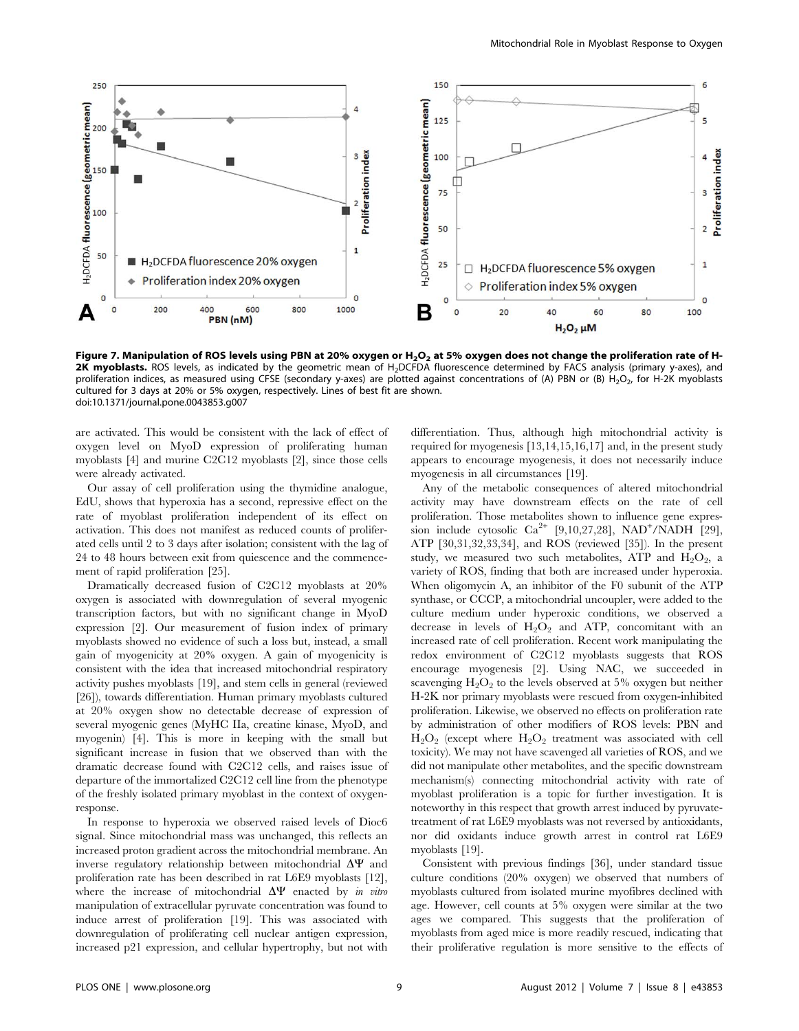

Figure 7. Manipulation of ROS levels using PBN at 20% oxygen or  $H_2O_2$  at 5% oxygen does not change the proliferation rate of H-2K myoblasts. ROS levels, as indicated by the geometric mean of H<sub>2</sub>DCFDA fluorescence determined by FACS analysis (primary y-axes), and proliferation indices, as measured using CFSE (secondary y-axes) are plotted against concentrations of (A) PBN or (B) H<sub>2</sub>O<sub>2</sub>, for H-2K myoblasts cultured for 3 days at 20% or 5% oxygen, respectively. Lines of best fit are shown. doi:10.1371/journal.pone.0043853.g007

are activated. This would be consistent with the lack of effect of oxygen level on MyoD expression of proliferating human myoblasts [4] and murine C2C12 myoblasts [2], since those cells were already activated.

Our assay of cell proliferation using the thymidine analogue, EdU, shows that hyperoxia has a second, repressive effect on the rate of myoblast proliferation independent of its effect on activation. This does not manifest as reduced counts of proliferated cells until 2 to 3 days after isolation; consistent with the lag of 24 to 48 hours between exit from quiescence and the commencement of rapid proliferation [25].

Dramatically decreased fusion of C2C12 myoblasts at 20% oxygen is associated with downregulation of several myogenic transcription factors, but with no significant change in MyoD expression [2]. Our measurement of fusion index of primary myoblasts showed no evidence of such a loss but, instead, a small gain of myogenicity at 20% oxygen. A gain of myogenicity is consistent with the idea that increased mitochondrial respiratory activity pushes myoblasts [19], and stem cells in general (reviewed [26]), towards differentiation. Human primary myoblasts cultured at 20% oxygen show no detectable decrease of expression of several myogenic genes (MyHC IIa, creatine kinase, MyoD, and myogenin) [4]. This is more in keeping with the small but significant increase in fusion that we observed than with the dramatic decrease found with C2C12 cells, and raises issue of departure of the immortalized C2C12 cell line from the phenotype of the freshly isolated primary myoblast in the context of oxygenresponse.

In response to hyperoxia we observed raised levels of Dioc6 signal. Since mitochondrial mass was unchanged, this reflects an increased proton gradient across the mitochondrial membrane. An inverse regulatory relationship between mitochondrial  $\Delta \Psi$  and proliferation rate has been described in rat L6E9 myoblasts [12], where the increase of mitochondrial  $\Delta \Psi$  enacted by in vitro manipulation of extracellular pyruvate concentration was found to induce arrest of proliferation [19]. This was associated with downregulation of proliferating cell nuclear antigen expression, increased p21 expression, and cellular hypertrophy, but not with

differentiation. Thus, although high mitochondrial activity is required for myogenesis [13,14,15,16,17] and, in the present study appears to encourage myogenesis, it does not necessarily induce myogenesis in all circumstances [19].

Any of the metabolic consequences of altered mitochondrial activity may have downstream effects on the rate of cell proliferation. Those metabolites shown to influence gene expression include cytosolic  $Ca^{2+}$  [9,10,27,28], NAD<sup>+</sup>/NADH [29], ATP [30,31,32,33,34], and ROS (reviewed [35]). In the present study, we measured two such metabolites, ATP and  $H_2O_2$ , a variety of ROS, finding that both are increased under hyperoxia. When oligomycin A, an inhibitor of the F0 subunit of the ATP synthase, or CCCP, a mitochondrial uncoupler, were added to the culture medium under hyperoxic conditions, we observed a decrease in levels of  $H_2O_2$  and ATP, concomitant with an increased rate of cell proliferation. Recent work manipulating the redox environment of C2C12 myoblasts suggests that ROS encourage myogenesis [2]. Using NAC, we succeeded in scavenging  $H_2O_2$  to the levels observed at 5% oxygen but neither H-2K nor primary myoblasts were rescued from oxygen-inhibited proliferation. Likewise, we observed no effects on proliferation rate by administration of other modifiers of ROS levels: PBN and  $H_2O_2$  (except where  $H_2O_2$  treatment was associated with cell toxicity). We may not have scavenged all varieties of ROS, and we did not manipulate other metabolites, and the specific downstream mechanism(s) connecting mitochondrial activity with rate of myoblast proliferation is a topic for further investigation. It is noteworthy in this respect that growth arrest induced by pyruvatetreatment of rat L6E9 myoblasts was not reversed by antioxidants, nor did oxidants induce growth arrest in control rat L6E9 myoblasts [19].

Consistent with previous findings [36], under standard tissue culture conditions (20% oxygen) we observed that numbers of myoblasts cultured from isolated murine myofibres declined with age. However, cell counts at 5% oxygen were similar at the two ages we compared. This suggests that the proliferation of myoblasts from aged mice is more readily rescued, indicating that their proliferative regulation is more sensitive to the effects of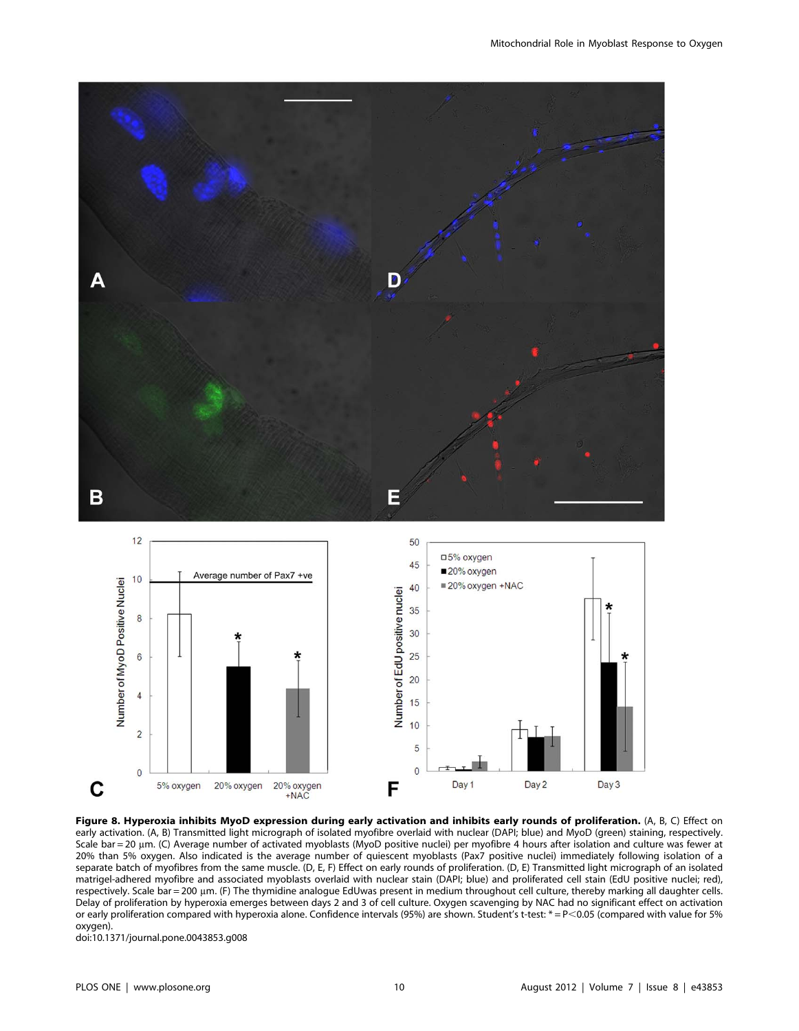



Figure 8. Hyperoxia inhibits MyoD expression during early activation and inhibits early rounds of proliferation. (A, B, C) Effect on early activation. (A, B) Transmitted light micrograph of isolated myofibre overlaid with nuclear (DAPI; blue) and MyoD (green) staining, respectively. Scale bar = 20 µm. (C) Average number of activated myoblasts (MyoD positive nuclei) per myofibre 4 hours after isolation and culture was fewer at 20% than 5% oxygen. Also indicated is the average number of quiescent myoblasts (Pax7 positive nuclei) immediately following isolation of a separate batch of myofibres from the same muscle. (D, E, F) Effect on early rounds of proliferation. (D, E) Transmitted light micrograph of an isolated matrigel-adhered myofibre and associated myoblasts overlaid with nuclear stain (DAPI; blue) and proliferated cell stain (EdU positive nuclei; red), respectively. Scale bar = 200 um. (F) The thymidine analogue EdUwas present in medium throughout cell culture, thereby marking all daughter cells. Delay of proliferation by hyperoxia emerges between days 2 and 3 of cell culture. Oxygen scavenging by NAC had no significant effect on activation or early proliferation compared with hyperoxia alone. Confidence intervals (95%) are shown. Student's t-test: \*= P<0.05 (compared with value for 5% oxygen).

doi:10.1371/journal.pone.0043853.g008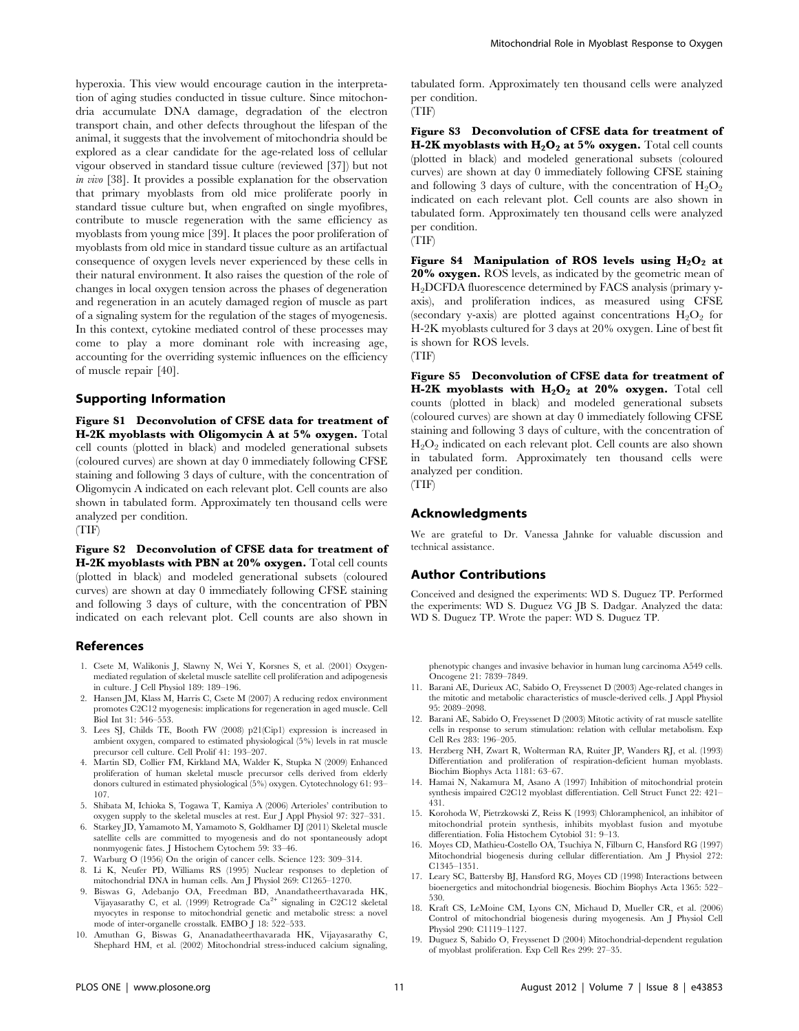hyperoxia. This view would encourage caution in the interpretation of aging studies conducted in tissue culture. Since mitochondria accumulate DNA damage, degradation of the electron transport chain, and other defects throughout the lifespan of the animal, it suggests that the involvement of mitochondria should be explored as a clear candidate for the age-related loss of cellular vigour observed in standard tissue culture (reviewed [37]) but not in vivo [38]. It provides a possible explanation for the observation that primary myoblasts from old mice proliferate poorly in standard tissue culture but, when engrafted on single myofibres, contribute to muscle regeneration with the same efficiency as myoblasts from young mice [39]. It places the poor proliferation of myoblasts from old mice in standard tissue culture as an artifactual consequence of oxygen levels never experienced by these cells in their natural environment. It also raises the question of the role of changes in local oxygen tension across the phases of degeneration and regeneration in an acutely damaged region of muscle as part of a signaling system for the regulation of the stages of myogenesis. In this context, cytokine mediated control of these processes may come to play a more dominant role with increasing age, accounting for the overriding systemic influences on the efficiency of muscle repair [40].

#### Supporting Information

Figure S1 Deconvolution of CFSE data for treatment of H-2K myoblasts with Oligomycin A at 5% oxygen. Total cell counts (plotted in black) and modeled generational subsets (coloured curves) are shown at day 0 immediately following CFSE staining and following 3 days of culture, with the concentration of Oligomycin A indicated on each relevant plot. Cell counts are also shown in tabulated form. Approximately ten thousand cells were analyzed per condition.

(TIF)

Figure S2 Deconvolution of CFSE data for treatment of H-2K myoblasts with PBN at 20% oxygen. Total cell counts (plotted in black) and modeled generational subsets (coloured curves) are shown at day 0 immediately following CFSE staining and following 3 days of culture, with the concentration of PBN indicated on each relevant plot. Cell counts are also shown in

#### References

- 1. Csete M, Walikonis J, Slawny N, Wei Y, Korsnes S, et al. (2001) Oxygenmediated regulation of skeletal muscle satellite cell proliferation and adipogenesis in culture. J Cell Physiol 189: 189–196.
- 2. Hansen JM, Klass M, Harris C, Csete M (2007) A reducing redox environment promotes C2C12 myogenesis: implications for regeneration in aged muscle. Cell Biol Int 31: 546–553.
- 3. Lees SJ, Childs TE, Booth FW (2008) p21(Cip1) expression is increased in ambient oxygen, compared to estimated physiological (5%) levels in rat muscle precursor cell culture. Cell Prolif 41: 193–207.
- 4. Martin SD, Collier FM, Kirkland MA, Walder K, Stupka N (2009) Enhanced proliferation of human skeletal muscle precursor cells derived from elderly donors cultured in estimated physiological (5%) oxygen. Cytotechnology 61: 93– 107.
- 5. Shibata M, Ichioka S, Togawa T, Kamiya A (2006) Arterioles' contribution to oxygen supply to the skeletal muscles at rest. Eur J Appl Physiol 97: 327–331.
- 6. Starkey JD, Yamamoto M, Yamamoto S, Goldhamer DJ (2011) Skeletal muscle satellite cells are committed to myogenesis and do not spontaneously adopt nonmyogenic fates. J Histochem Cytochem 59: 33–46.
- 7. Warburg O (1956) On the origin of cancer cells. Science 123: 309–314.
- 8. Li K, Neufer PD, Williams RS (1995) Nuclear responses to depletion of mitochondrial DNA in human cells. Am J Physiol 269: C1265–1270.
- 9. Biswas G, Adebanjo OA, Freedman BD, Anandatheerthavarada HK, Vijayasarathy C, et al. (1999) Retrograde Ca<sup>2+</sup> signaling in C2C12 skeletal mode of inter-organelle crosstalk. EMBO J 18: 522–533.

myocytes in response to mitochondrial genetic and metabolic stress: a novel 10. Amuthan G, Biswas G, Ananadatheerthavarada HK, Vijayasarathy C,

phenotypic changes and invasive behavior in human lung carcinoma A549 cells. Oncogene 21: 7839–7849.

- 11. Barani AE, Durieux AC, Sabido O, Freyssenet D (2003) Age-related changes in the mitotic and metabolic characteristics of muscle-derived cells. J Appl Physiol 95: 2089–2098.
- 12. Barani AE, Sabido O, Freyssenet D (2003) Mitotic activity of rat muscle satellite cells in response to serum stimulation: relation with cellular metabolism. Exp Cell Res 283: 196–205.
- 13. Herzberg NH, Zwart R, Wolterman RA, Ruiter JP, Wanders RJ, et al. (1993) Differentiation and proliferation of respiration-deficient human myoblasts. Biochim Biophys Acta 1181: 63–67.
- 14. Hamai N, Nakamura M, Asano A (1997) Inhibition of mitochondrial protein synthesis impaired C2C12 myoblast differentiation. Cell Struct Funct 22: 421– 431.
- 15. Korohoda W, Pietrzkowski Z, Reiss K (1993) Chloramphenicol, an inhibitor of mitochondrial protein synthesis, inhibits myoblast fusion and myotube differentiation. Folia Histochem Cytobiol 31: 9–13.
- 16. Moyes CD, Mathieu-Costello OA, Tsuchiya N, Filburn C, Hansford RG (1997) Mitochondrial biogenesis during cellular differentiation. Am J Physiol 272: C1345–1351.
- 17. Leary SC, Battersby BJ, Hansford RG, Moyes CD (1998) Interactions between bioenergetics and mitochondrial biogenesis. Biochim Biophys Acta 1365: 522– 530.
- Physiol 290: C1119–1127.
- Shephard HM, et al. (2002) Mitochondrial stress-induced calcium signaling,

tabulated form. Approximately ten thousand cells were analyzed per condition.

(TIF)

Figure S3 Deconvolution of CFSE data for treatment of H-2K myoblasts with  $H_2O_2$  at 5% oxygen. Total cell counts (plotted in black) and modeled generational subsets (coloured curves) are shown at day 0 immediately following CFSE staining and following 3 days of culture, with the concentration of  $H_2O_2$ indicated on each relevant plot. Cell counts are also shown in tabulated form. Approximately ten thousand cells were analyzed per condition.

(TIF)

Figure S4 Manipulation of ROS levels using  $H_2O_2$  at 20% oxygen. ROS levels, as indicated by the geometric mean of H2DCFDA fluorescence determined by FACS analysis (primary yaxis), and proliferation indices, as measured using CFSE (secondary y-axis) are plotted against concentrations  $H_2O_2$  for H-2K myoblasts cultured for 3 days at 20% oxygen. Line of best fit is shown for ROS levels.

(TIF)

Figure S5 Deconvolution of CFSE data for treatment of H-2K myoblasts with  $H_2O_2$  at 20% oxygen. Total cell counts (plotted in black) and modeled generational subsets (coloured curves) are shown at day 0 immediately following CFSE staining and following 3 days of culture, with the concentration of  $H_2O_2$  indicated on each relevant plot. Cell counts are also shown in tabulated form. Approximately ten thousand cells were analyzed per condition.

(TIF)

#### Acknowledgments

We are grateful to Dr. Vanessa Jahnke for valuable discussion and technical assistance.

#### Author Contributions

Conceived and designed the experiments: WD S. Duguez TP. Performed the experiments: WD S. Duguez VG JB S. Dadgar. Analyzed the data: WD S. Duguez TP. Wrote the paper: WD S. Duguez TP.

18. Kraft CS, LeMoine CM, Lyons CN, Michaud D, Mueller CR, et al. (2006) Control of mitochondrial biogenesis during myogenesis. Am J Physiol Cell

19. Duguez S, Sabido O, Freyssenet D (2004) Mitochondrial-dependent regulation of myoblast proliferation. Exp Cell Res 299: 27–35.